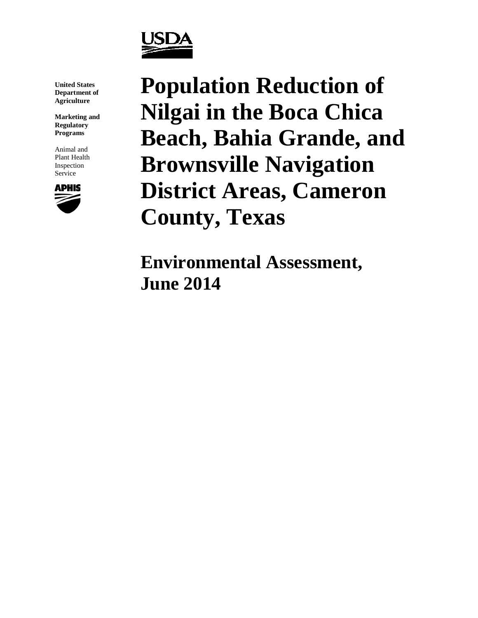

**United States Department of Agriculture**

**Marketing and Regulatory Programs**

Animal and Plant Health Inspection Service



**Population Reduction of Nilgai in the Boca Chica Beach, Bahia Grande, and Brownsville Navigation District Areas, Cameron County, Texas**

**Environmental Assessment, June 2014**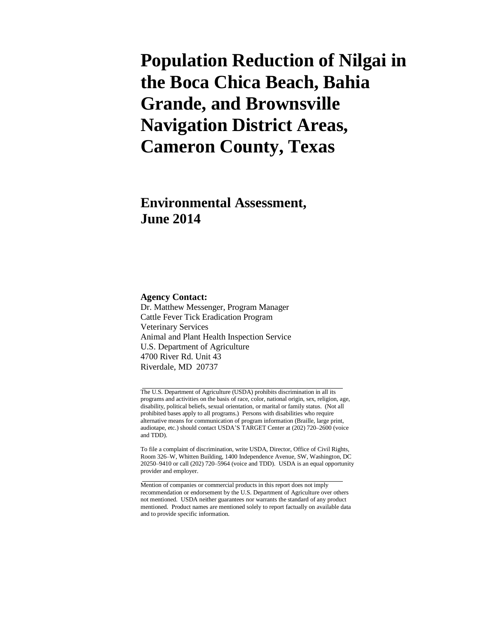# **Population Reduction of Nilgai in the Boca Chica Beach, Bahia Grande, and Brownsville Navigation District Areas, Cameron County, Texas**

## **Environmental Assessment, June 2014**

#### **Agency Contact:**

Dr. Matthew Messenger, Program Manager Cattle Fever Tick Eradication Program Veterinary Services Animal and Plant Health Inspection Service U.S. Department of Agriculture 4700 River Rd. Unit 43 Riverdale, MD 20737

The U.S. Department of Agriculture (USDA) prohibits discrimination in all its programs and activities on the basis of race, color, national origin, sex, religion, age, disability, political beliefs, sexual orientation, or marital or family status. (Not all prohibited bases apply to all programs.) Persons with disabilities who require alternative means for communication of program information (Braille, large print, audiotape, etc.) should contact USDA'S TARGET Center at (202) 720–2600 (voice and TDD).

To file a complaint of discrimination, write USDA, Director, Office of Civil Rights, Room 326–W, Whitten Building, 1400 Independence Avenue, SW, Washington, DC 20250–9410 or call (202) 720–5964 (voice and TDD). USDA is an equal opportunity provider and employer.

Mention of companies or commercial products in this report does not imply recommendation or endorsement by the U.S. Department of Agriculture over others not mentioned. USDA neither guarantees nor warrants the standard of any product mentioned. Product names are mentioned solely to report factually on available data and to provide specific information.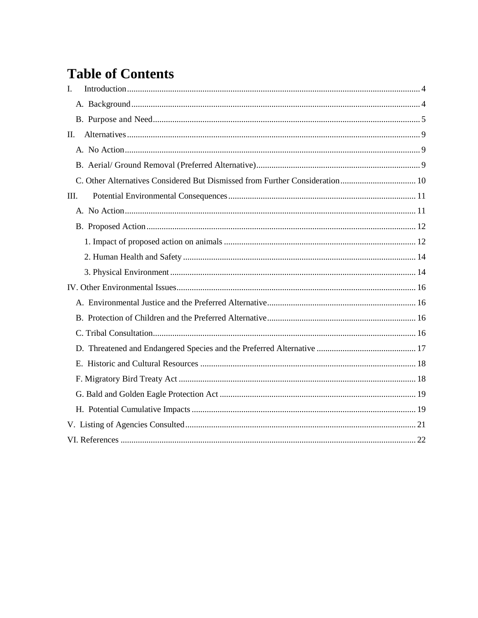## **Table of Contents**

| $\mathbf{I}$ . |  |
|----------------|--|
|                |  |
|                |  |
| П.             |  |
|                |  |
|                |  |
|                |  |
| Ш.             |  |
|                |  |
|                |  |
|                |  |
|                |  |
|                |  |
|                |  |
|                |  |
|                |  |
|                |  |
|                |  |
|                |  |
|                |  |
|                |  |
|                |  |
|                |  |
|                |  |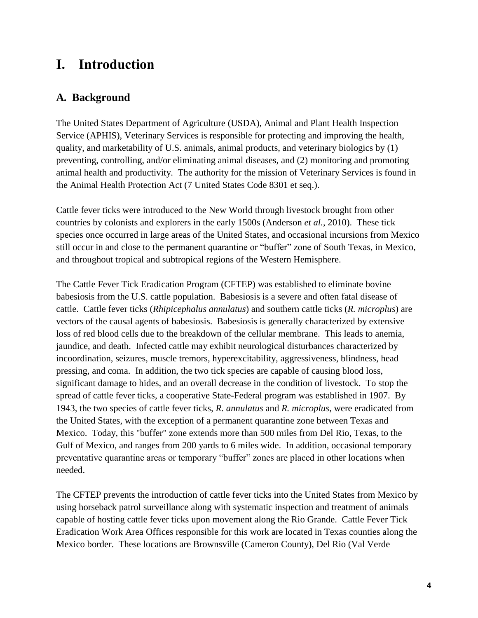## <span id="page-3-0"></span>**I. Introduction**

### <span id="page-3-1"></span>**A. Background**

The United States Department of Agriculture (USDA), Animal and Plant Health Inspection Service (APHIS), Veterinary Services is responsible for protecting and improving the health, quality, and marketability of U.S. animals, animal products, and veterinary biologics by (1) preventing, controlling, and/or eliminating animal diseases, and (2) monitoring and promoting animal health and productivity. The authority for the mission of Veterinary Services is found in the Animal Health Protection Act (7 United States Code 8301 et seq.).

Cattle fever ticks were introduced to the New World through livestock brought from other countries by colonists and explorers in the early 1500s [\(Anderson](#page-21-1) *et al.*, 2010). These tick species once occurred in large areas of the United States, and occasional incursions from Mexico still occur in and close to the permanent quarantine or "buffer" zone of South Texas, in Mexico, and throughout tropical and subtropical regions of the Western Hemisphere.

The Cattle Fever Tick Eradication Program (CFTEP) was established to eliminate bovine babesiosis from the U.S. cattle population. Babesiosis is a severe and often fatal disease of cattle. Cattle fever ticks (*Rhipicephalus annulatus*) and southern cattle ticks (*R. microplus*) are vectors of the causal agents of babesiosis. Babesiosis is generally characterized by extensive loss of red blood cells due to the breakdown of the cellular membrane. This leads to anemia, jaundice, and death. Infected cattle may exhibit neurological disturbances characterized by incoordination, seizures, muscle tremors, hyperexcitability, aggressiveness, blindness, head pressing, and coma. In addition, the two tick species are capable of causing blood loss, significant damage to hides, and an overall decrease in the condition of livestock. To stop the spread of cattle fever ticks, a cooperative State-Federal program was established in 1907. By 1943, the two species of cattle fever ticks, *R. annulatus* and *R. microplus*, were eradicated from the United States, with the exception of a permanent quarantine zone between Texas and Mexico. Today, this "buffer" zone extends more than 500 miles from Del Rio, Texas, to the Gulf of Mexico, and ranges from 200 yards to 6 miles wide. In addition, occasional temporary preventative quarantine areas or temporary "buffer" zones are placed in other locations when needed.

The CFTEP prevents the introduction of cattle fever ticks into the United States from Mexico by using horseback patrol surveillance along with systematic inspection and treatment of animals capable of hosting cattle fever ticks upon movement along the Rio Grande. Cattle Fever Tick Eradication Work Area Offices responsible for this work are located in Texas counties along the Mexico border. These locations are Brownsville (Cameron County), Del Rio (Val Verde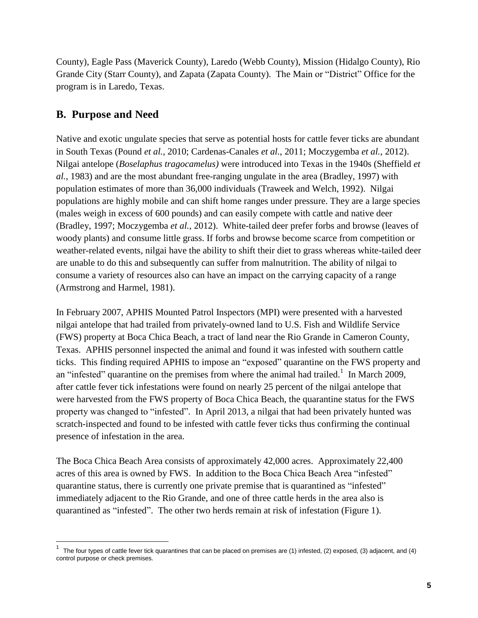County), Eagle Pass (Maverick County), Laredo (Webb County), Mission (Hidalgo County), Rio Grande City (Starr County), and Zapata (Zapata County). The Main or "District" Office for the program is in Laredo, Texas.

#### <span id="page-4-0"></span>**B. Purpose and Need**

 $\overline{a}$ 

Native and exotic ungulate species that serve as potential hosts for cattle fever ticks are abundant in South Texas [\(Pound](#page-23-0) *et al.*, 2010; [Cardenas-Canales](#page-21-2) *et al.*, 2011; [Moczygemba](#page-22-0) *et al.*, 2012). Nilgai antelope (*Boselaphus tragocamelus)* were introduced into Texas in the 1940s [\(Sheffield](#page-23-1) *et al.*[, 1983\)](#page-23-1) and are the most abundant free-ranging ungulate in the area [\(Bradley, 1997\)](#page-21-3) with population estimates of more than 36,000 individuals [\(Traweek and Welch, 1992\)](#page-23-2). Nilgai populations are highly mobile and can shift home ranges under pressure. They are a large species (males weigh in excess of 600 pounds) and can easily compete with cattle and native deer [\(Bradley, 1997;](#page-21-3) [Moczygemba](#page-22-0) *et al.*, 2012). White-tailed deer prefer forbs and browse (leaves of woody plants) and consume little grass. If forbs and browse become scarce from competition or weather-related events, nilgai have the ability to shift their diet to grass whereas white-tailed deer are unable to do this and subsequently can suffer from malnutrition. The ability of nilgai to consume a variety of resources also can have an impact on the carrying capacity of a range [\(Armstrong and Harmel, 1981\)](#page-21-4).

In February 2007, APHIS Mounted Patrol Inspectors (MPI) were presented with a harvested nilgai antelope that had trailed from privately-owned land to U.S. Fish and Wildlife Service (FWS) property at Boca Chica Beach, a tract of land near the Rio Grande in Cameron County, Texas. APHIS personnel inspected the animal and found it was infested with southern cattle ticks. This finding required APHIS to impose an "exposed" quarantine on the FWS property and an "infested" quarantine on the premises from where the animal had trailed.<sup>1</sup> In March 2009, after cattle fever tick infestations were found on nearly 25 percent of the nilgai antelope that were harvested from the FWS property of Boca Chica Beach, the quarantine status for the FWS property was changed to "infested". In April 2013, a nilgai that had been privately hunted was scratch-inspected and found to be infested with cattle fever ticks thus confirming the continual presence of infestation in the area.

The Boca Chica Beach Area consists of approximately 42,000 acres. Approximately 22,400 acres of this area is owned by FWS. In addition to the Boca Chica Beach Area "infested" quarantine status, there is currently one private premise that is quarantined as "infested" immediately adjacent to the Rio Grande, and one of three cattle herds in the area also is quarantined as "infested".The other two herds remain at risk of infestation (Figure 1).

<sup>1</sup> The four types of cattle fever tick quarantines that can be placed on premises are (1) infested, (2) exposed, (3) adjacent, and (4) control purpose or check premises.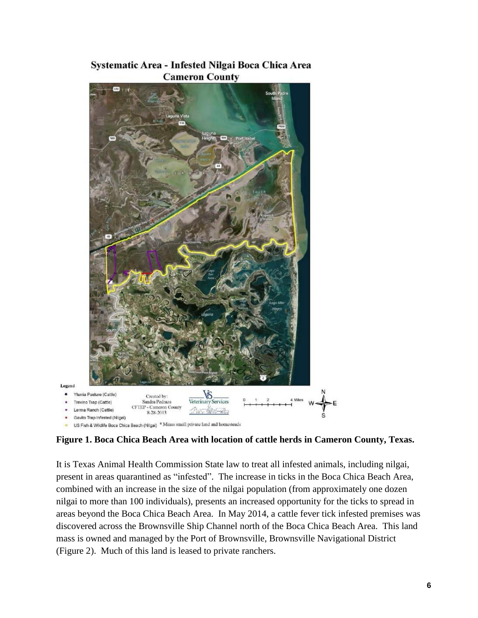



**Figure 1. Boca Chica Beach Area with location of cattle herds in Cameron County, Texas.**

It is Texas Animal Health Commission State law to treat all infested animals, including nilgai, present in areas quarantined as "infested". The increase in ticks in the Boca Chica Beach Area, combined with an increase in the size of the nilgai population (from approximately one dozen nilgai to more than 100 individuals), presents an increased opportunity for the ticks to spread in areas beyond the Boca Chica Beach Area. In May 2014, a cattle fever tick infested premises was discovered across the Brownsville Ship Channel north of the Boca Chica Beach Area. This land mass is owned and managed by the Port of Brownsville, Brownsville Navigational District (Figure 2). Much of this land is leased to private ranchers.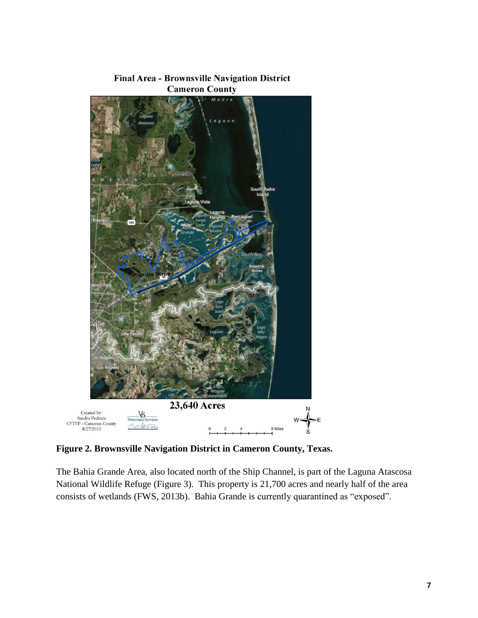

Final Area - Brownsville Navigation District **Cameron County** 

**Figure 2. Brownsville Navigation District in Cameron County, Texas.**

The Bahia Grande Area, also located north of the Ship Channel, is part of the Laguna Atascosa National Wildlife Refuge (Figure 3). This property is 21,700 acres and nearly half of the area consists of wetlands [\(FWS, 2013b\)](#page-22-1). Bahia Grande is currently quarantined as "exposed".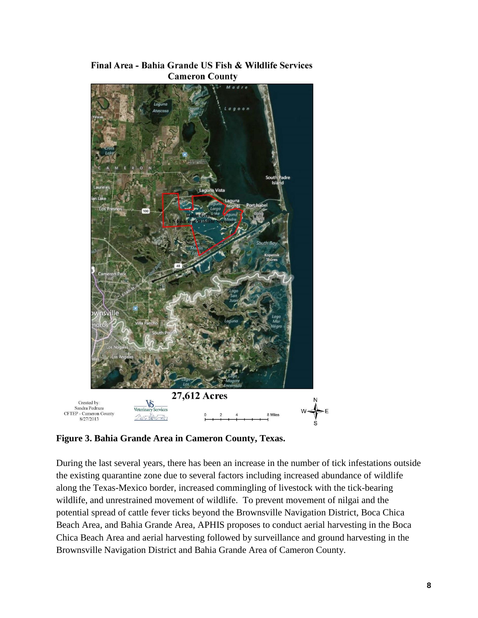

Final Area - Bahia Grande US Fish & Wildlife Services **Cameron County** 

**Figure 3. Bahia Grande Area in Cameron County, Texas.**

During the last several years, there has been an increase in the number of tick infestations outside the existing quarantine zone due to several factors including increased abundance of wildlife along the Texas-Mexico border, increased commingling of livestock with the tick-bearing wildlife, and unrestrained movement of wildlife. To prevent movement of nilgai and the potential spread of cattle fever ticks beyond the Brownsville Navigation District, Boca Chica Beach Area, and Bahia Grande Area, APHIS proposes to conduct aerial harvesting in the Boca Chica Beach Area and aerial harvesting followed by surveillance and ground harvesting in the Brownsville Navigation District and Bahia Grande Area of Cameron County.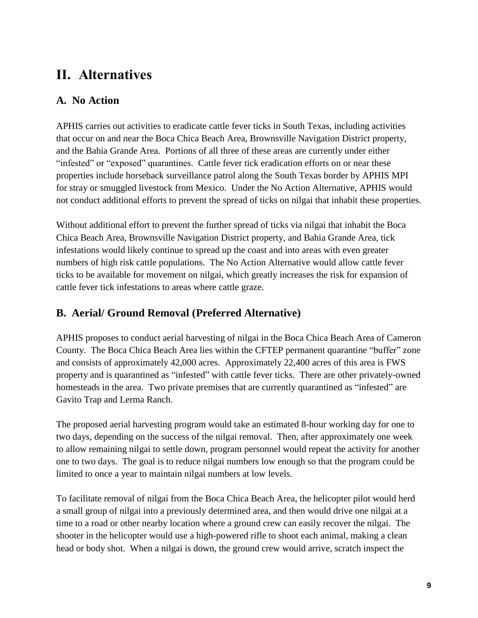## <span id="page-8-0"></span>**II. Alternatives**

## <span id="page-8-1"></span>**A. No Action**

APHIS carries out activities to eradicate cattle fever ticks in South Texas, including activities that occur on and near the Boca Chica Beach Area, Brownsville Navigation District property, and the Bahia Grande Area. Portions of all three of these areas are currently under either "infested" or "exposed" quarantines. Cattle fever tick eradication efforts on or near these properties include horseback surveillance patrol along the South Texas border by APHIS MPI for stray or smuggled livestock from Mexico. Under the No Action Alternative, APHIS would not conduct additional efforts to prevent the spread of ticks on nilgai that inhabit these properties.

Without additional effort to prevent the further spread of ticks via nilgai that inhabit the Boca Chica Beach Area, Brownsville Navigation District property, and Bahia Grande Area, tick infestations would likely continue to spread up the coast and into areas with even greater numbers of high risk cattle populations. The No Action Alternative would allow cattle fever ticks to be available for movement on nilgai, which greatly increases the risk for expansion of cattle fever tick infestations to areas where cattle graze.

### <span id="page-8-2"></span>**B. Aerial/ Ground Removal (Preferred Alternative)**

APHIS proposes to conduct aerial harvesting of nilgai in the Boca Chica Beach Area of Cameron County. The Boca Chica Beach Area lies within the CFTEP permanent quarantine "buffer" zone and consists of approximately 42,000 acres. Approximately 22,400 acres of this area is FWS property and is quarantined as "infested" with cattle fever ticks. There are other privately-owned homesteads in the area. Two private premises that are currently quarantined as "infested" are Gavito Trap and Lerma Ranch.

The proposed aerial harvesting program would take an estimated 8-hour working day for one to two days, depending on the success of the nilgai removal. Then, after approximately one week to allow remaining nilgai to settle down, program personnel would repeat the activity for another one to two days. The goal is to reduce nilgai numbers low enough so that the program could be limited to once a year to maintain nilgai numbers at low levels.

To facilitate removal of nilgai from the Boca Chica Beach Area, the helicopter pilot would herd a small group of nilgai into a previously determined area, and then would drive one nilgai at a time to a road or other nearby location where a ground crew can easily recover the nilgai. The shooter in the helicopter would use a high-powered rifle to shoot each animal, making a clean head or body shot. When a nilgai is down, the ground crew would arrive, scratch inspect the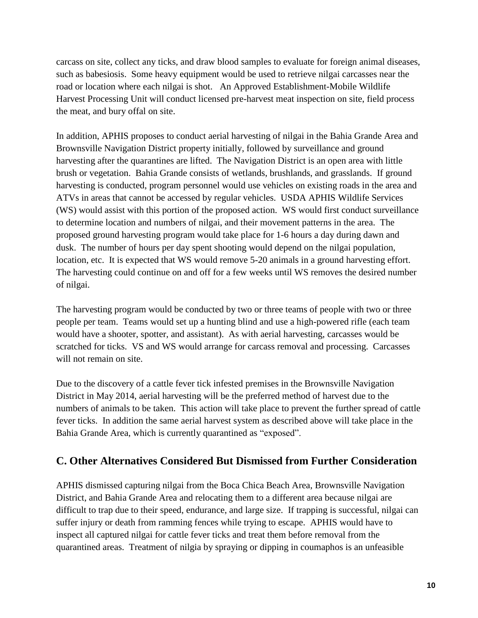carcass on site, collect any ticks, and draw blood samples to evaluate for foreign animal diseases, such as babesiosis. Some heavy equipment would be used to retrieve nilgai carcasses near the road or location where each nilgai is shot. An Approved Establishment-Mobile Wildlife Harvest Processing Unit will conduct licensed pre-harvest meat inspection on site, field process the meat, and bury offal on site.

In addition, APHIS proposes to conduct aerial harvesting of nilgai in the Bahia Grande Area and Brownsville Navigation District property initially, followed by surveillance and ground harvesting after the quarantines are lifted. The Navigation District is an open area with little brush or vegetation. Bahia Grande consists of wetlands, brushlands, and grasslands. If ground harvesting is conducted, program personnel would use vehicles on existing roads in the area and ATVs in areas that cannot be accessed by regular vehicles. USDA APHIS Wildlife Services (WS) would assist with this portion of the proposed action. WS would first conduct surveillance to determine location and numbers of nilgai, and their movement patterns in the area. The proposed ground harvesting program would take place for 1-6 hours a day during dawn and dusk. The number of hours per day spent shooting would depend on the nilgai population, location, etc. It is expected that WS would remove 5-20 animals in a ground harvesting effort. The harvesting could continue on and off for a few weeks until WS removes the desired number of nilgai.

The harvesting program would be conducted by two or three teams of people with two or three people per team. Teams would set up a hunting blind and use a high-powered rifle (each team would have a shooter, spotter, and assistant). As with aerial harvesting, carcasses would be scratched for ticks. VS and WS would arrange for carcass removal and processing. Carcasses will not remain on site.

Due to the discovery of a cattle fever tick infested premises in the Brownsville Navigation District in May 2014, aerial harvesting will be the preferred method of harvest due to the numbers of animals to be taken. This action will take place to prevent the further spread of cattle fever ticks. In addition the same aerial harvest system as described above will take place in the Bahia Grande Area, which is currently quarantined as "exposed".

### <span id="page-9-0"></span>**C. Other Alternatives Considered But Dismissed from Further Consideration**

APHIS dismissed capturing nilgai from the Boca Chica Beach Area, Brownsville Navigation District, and Bahia Grande Area and relocating them to a different area because nilgai are difficult to trap due to their speed, endurance, and large size. If trapping is successful, nilgai can suffer injury or death from ramming fences while trying to escape. APHIS would have to inspect all captured nilgai for cattle fever ticks and treat them before removal from the quarantined areas. Treatment of nilgia by spraying or dipping in coumaphos is an unfeasible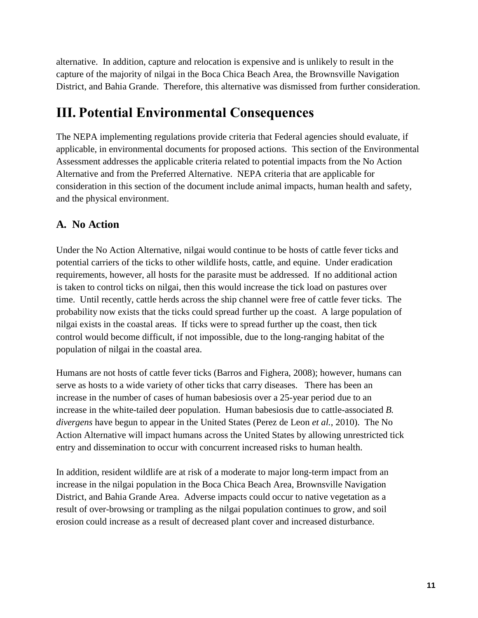alternative. In addition, capture and relocation is expensive and is unlikely to result in the capture of the majority of nilgai in the Boca Chica Beach Area, the Brownsville Navigation District, and Bahia Grande. Therefore, this alternative was dismissed from further consideration.

## <span id="page-10-0"></span>**III. Potential Environmental Consequences**

The NEPA implementing regulations provide criteria that Federal agencies should evaluate, if applicable, in environmental documents for proposed actions. This section of the Environmental Assessment addresses the applicable criteria related to potential impacts from the No Action Alternative and from the Preferred Alternative. NEPA criteria that are applicable for consideration in this section of the document include animal impacts, human health and safety, and the physical environment.

### <span id="page-10-1"></span>**A. No Action**

Under the No Action Alternative, nilgai would continue to be hosts of cattle fever ticks and potential carriers of the ticks to other wildlife hosts, cattle, and equine. Under eradication requirements, however, all hosts for the parasite must be addressed. If no additional action is taken to control ticks on nilgai, then this would increase the tick load on pastures over time. Until recently, cattle herds across the ship channel were free of cattle fever ticks. The probability now exists that the ticks could spread further up the coast. A large population of nilgai exists in the coastal areas. If ticks were to spread further up the coast, then tick control would become difficult, if not impossible, due to the long-ranging habitat of the population of nilgai in the coastal area.

Humans are not hosts of cattle fever ticks [\(Barros and Fighera, 2008\)](#page-21-5); however, humans can serve as hosts to a wide variety of other ticks that carry diseases. There has been an increase in the number of cases of human babesiosis over a 25-year period due to an increase in the white-tailed deer population. Human babesiosis due to cattle-associated *B. divergens* have begun to appear in the United States [\(Perez de Leon](#page-22-2) *et al.*, 2010). The No Action Alternative will impact humans across the United States by allowing unrestricted tick entry and dissemination to occur with concurrent increased risks to human health.

In addition, resident wildlife are at risk of a moderate to major long-term impact from an increase in the nilgai population in the Boca Chica Beach Area, Brownsville Navigation District, and Bahia Grande Area. Adverse impacts could occur to native vegetation as a result of over-browsing or trampling as the nilgai population continues to grow, and soil erosion could increase as a result of decreased plant cover and increased disturbance.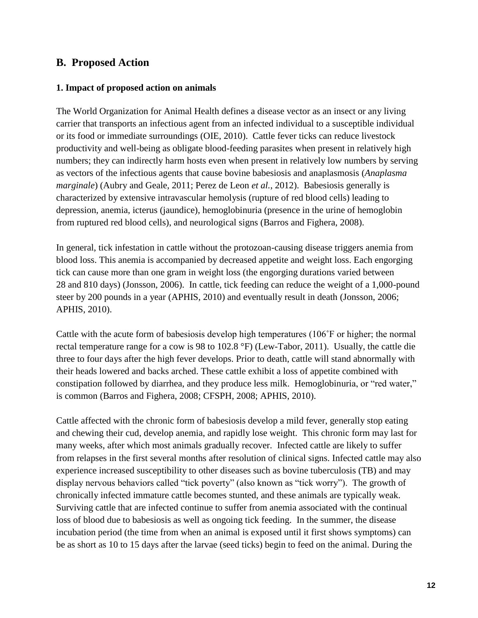#### <span id="page-11-0"></span>**B. Proposed Action**

#### <span id="page-11-1"></span>**1. Impact of proposed action on animals**

The World Organization for Animal Health defines a disease vector as an insect or any living carrier that transports an infectious agent from an infected individual to a susceptible individual or its food or immediate surroundings [\(OIE, 2010\)](#page-22-3). Cattle fever ticks can reduce livestock productivity and well-being as obligate blood-feeding parasites when present in relatively high numbers; they can indirectly harm hosts even when present in relatively low numbers by serving as vectors of the infectious agents that cause bovine babesiosis and anaplasmosis (*Anaplasma marginale*) [\(Aubry and Geale, 2011;](#page-21-6) [Perez de Leon](#page-23-3) *et al.*, 2012). Babesiosis generally is characterized by extensive intravascular hemolysis (rupture of red blood cells) leading to depression, anemia, icterus (jaundice), hemoglobinuria (presence in the urine of hemoglobin from ruptured red blood cells), and neurological signs [\(Barros and Fighera, 2008\)](#page-21-5).

In general, tick infestation in cattle without the protozoan-causing disease triggers anemia from blood loss. This anemia is accompanied by decreased appetite and weight loss. Each engorging tick can cause more than one gram in weight loss (the engorging durations varied between 28 and 810 days) [\(Jonsson, 2006\)](#page-22-4). In cattle, tick feeding can reduce the weight of a 1,000-pound steer by 200 pounds in a year [\(APHIS, 2010\)](#page-21-7) and eventually result in death [\(Jonsson, 2006;](#page-22-4) [APHIS, 2010\)](#page-21-7).

Cattle with the acute form of babesiosis develop high temperatures (106˚F or higher; the normal rectal temperature range for a cow is 98 to 102.8 °F) [\(Lew-Tabor, 2011\)](#page-22-5). Usually, the cattle die three to four days after the high fever develops. Prior to death, cattle will stand abnormally with their heads lowered and backs arched. These cattle exhibit a loss of appetite combined with constipation followed by diarrhea, and they produce less milk. Hemoglobinuria, or "red water," is common [\(Barros and Fighera, 2008;](#page-21-5) [CFSPH, 2008;](#page-21-8) [APHIS, 2010\)](#page-21-7).

Cattle affected with the chronic form of babesiosis develop a mild fever, generally stop eating and chewing their cud, develop anemia, and rapidly lose weight. This chronic form may last for many weeks, after which most animals gradually recover. Infected cattle are likely to suffer from relapses in the first several months after resolution of clinical signs. Infected cattle may also experience increased susceptibility to other diseases such as bovine tuberculosis (TB) and may display nervous behaviors called "tick poverty" (also known as "tick worry"). The growth of chronically infected immature cattle becomes stunted, and these animals are typically weak. Surviving cattle that are infected continue to suffer from anemia associated with the continual loss of blood due to babesiosis as well as ongoing tick feeding. In the summer, the disease incubation period (the time from when an animal is exposed until it first shows symptoms) can be as short as 10 to 15 days after the larvae (seed ticks) begin to feed on the animal. During the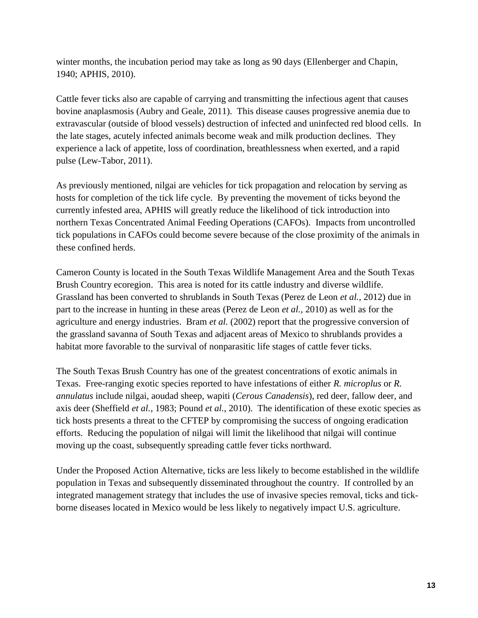winter months, the incubation period may take as long as 90 days [\(Ellenberger and Chapin,](#page-21-9)  [1940;](#page-21-9) [APHIS, 2010\)](#page-21-7).

Cattle fever ticks also are capable of carrying and transmitting the infectious agent that causes bovine anaplasmosis [\(Aubry and Geale, 2011\)](#page-21-6). This disease causes progressive anemia due to extravascular (outside of blood vessels) destruction of infected and uninfected red blood cells. In the late stages, acutely infected animals become weak and milk production declines. They experience a lack of appetite, loss of coordination, breathlessness when exerted, and a rapid pulse [\(Lew-Tabor, 2011\)](#page-22-5).

As previously mentioned, nilgai are vehicles for tick propagation and relocation by serving as hosts for completion of the tick life cycle. By preventing the movement of ticks beyond the currently infested area, APHIS will greatly reduce the likelihood of tick introduction into northern Texas Concentrated Animal Feeding Operations (CAFOs). Impacts from uncontrolled tick populations in CAFOs could become severe because of the close proximity of the animals in these confined herds.

Cameron County is located in the South Texas Wildlife Management Area and the South Texas Brush Country ecoregion. This area is noted for its cattle industry and diverse wildlife. Grassland has been converted to shrublands in South Texas [\(Perez de Leon](#page-23-3) *et al.*, 2012) due in part to the increase in hunting in these areas [\(Perez de Leon](#page-22-2) *et al.*, 2010) as well as for the agriculture and energy industries. Bram *et al.* [\(2002\)](#page-21-10) report that the progressive conversion of the grassland savanna of South Texas and adjacent areas of Mexico to shrublands provides a habitat more favorable to the survival of nonparasitic life stages of cattle fever ticks.

The South Texas Brush Country has one of the greatest concentrations of exotic animals in Texas. Free-ranging exotic species reported to have infestations of either *R. microplus* or *R. annulatus* include nilgai, aoudad sheep, wapiti (*Cerous Canadensis*), red deer, fallow deer, and axis deer [\(Sheffield](#page-23-1) *et al.*, 1983; [Pound](#page-23-0) *et al.*, 2010). The identification of these exotic species as tick hosts presents a threat to the CFTEP by compromising the success of ongoing eradication efforts. Reducing the population of nilgai will limit the likelihood that nilgai will continue moving up the coast, subsequently spreading cattle fever ticks northward.

Under the Proposed Action Alternative, ticks are less likely to become established in the wildlife population in Texas and subsequently disseminated throughout the country. If controlled by an integrated management strategy that includes the use of invasive species removal, ticks and tickborne diseases located in Mexico would be less likely to negatively impact U.S. agriculture.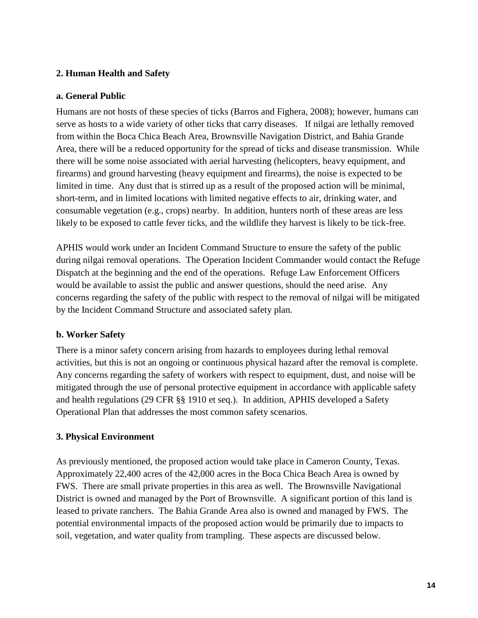#### <span id="page-13-0"></span>**2. Human Health and Safety**

#### **a. General Public**

Humans are not hosts of these species of ticks [\(Barros and Fighera, 2008\)](#page-21-5); however, humans can serve as hosts to a wide variety of other ticks that carry diseases. If nilgai are lethally removed from within the Boca Chica Beach Area, Brownsville Navigation District, and Bahia Grande Area, there will be a reduced opportunity for the spread of ticks and disease transmission. While there will be some noise associated with aerial harvesting (helicopters, heavy equipment, and firearms) and ground harvesting (heavy equipment and firearms), the noise is expected to be limited in time. Any dust that is stirred up as a result of the proposed action will be minimal, short-term, and in limited locations with limited negative effects to air, drinking water, and consumable vegetation (e.g., crops) nearby. In addition, hunters north of these areas are less likely to be exposed to cattle fever ticks, and the wildlife they harvest is likely to be tick-free.

APHIS would work under an Incident Command Structure to ensure the safety of the public during nilgai removal operations. The Operation Incident Commander would contact the Refuge Dispatch at the beginning and the end of the operations. Refuge Law Enforcement Officers would be available to assist the public and answer questions, should the need arise. Any concerns regarding the safety of the public with respect to the removal of nilgai will be mitigated by the Incident Command Structure and associated safety plan.

#### **b. Worker Safety**

There is a minor safety concern arising from hazards to employees during lethal removal activities, but this is not an ongoing or continuous physical hazard after the removal is complete. Any concerns regarding the safety of workers with respect to equipment, dust, and noise will be mitigated through the use of personal protective equipment in accordance with applicable safety and health regulations (29 CFR §§ 1910 et seq.). In addition, APHIS developed a Safety Operational Plan that addresses the most common safety scenarios.

#### <span id="page-13-1"></span>**3. Physical Environment**

As previously mentioned, the proposed action would take place in Cameron County, Texas. Approximately 22,400 acres of the 42,000 acres in the Boca Chica Beach Area is owned by FWS. There are small private properties in this area as well. The Brownsville Navigational District is owned and managed by the Port of Brownsville. A significant portion of this land is leased to private ranchers. The Bahia Grande Area also is owned and managed by FWS. The potential environmental impacts of the proposed action would be primarily due to impacts to soil, vegetation, and water quality from trampling. These aspects are discussed below.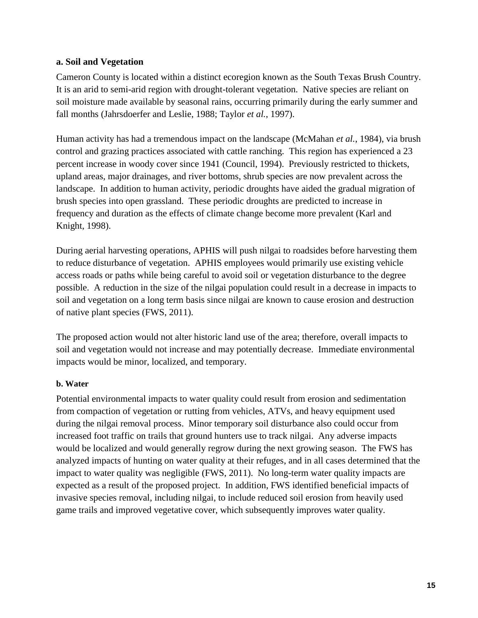#### **a. Soil and Vegetation**

Cameron County is located within a distinct ecoregion known as the South Texas Brush Country. It is an arid to semi-arid region with drought-tolerant vegetation. Native species are reliant on soil moisture made available by seasonal rains, occurring primarily during the early summer and fall months [\(Jahrsdoerfer and Leslie, 1988;](#page-22-6) [Taylor](#page-23-4) *et al.*, 1997).

Human activity has had a tremendous impact on the landscape [\(McMahan](#page-22-7) *et al.*, 1984), via brush control and grazing practices associated with cattle ranching. This region has experienced a 23 percent increase in woody cover since 1941 [\(Council, 1994\)](#page-21-11). Previously restricted to thickets, upland areas, major drainages, and river bottoms, shrub species are now prevalent across the landscape. In addition to human activity, periodic droughts have aided the gradual migration of brush species into open grassland. These periodic droughts are predicted to increase in frequency and duration as the effects of climate change become more prevalent [\(Karl and](#page-22-8)  [Knight, 1998\)](#page-22-8).

During aerial harvesting operations, APHIS will push nilgai to roadsides before harvesting them to reduce disturbance of vegetation. APHIS employees would primarily use existing vehicle access roads or paths while being careful to avoid soil or vegetation disturbance to the degree possible. A reduction in the size of the nilgai population could result in a decrease in impacts to soil and vegetation on a long term basis since nilgai are known to cause erosion and destruction of native plant species [\(FWS, 2011\)](#page-21-12).

The proposed action would not alter historic land use of the area; therefore, overall impacts to soil and vegetation would not increase and may potentially decrease. Immediate environmental impacts would be minor, localized, and temporary.

#### **b. Water**

Potential environmental impacts to water quality could result from erosion and sedimentation from compaction of vegetation or rutting from vehicles, ATVs, and heavy equipment used during the nilgai removal process. Minor temporary soil disturbance also could occur from increased foot traffic on trails that ground hunters use to track nilgai. Any adverse impacts would be localized and would generally regrow during the next growing season. The FWS has analyzed impacts of hunting on water quality at their refuges, and in all cases determined that the impact to water quality was negligible [\(FWS, 2011\)](#page-21-12). No long-term water quality impacts are expected as a result of the proposed project. In addition, FWS identified beneficial impacts of invasive species removal, including nilgai, to include reduced soil erosion from heavily used game trails and improved vegetative cover, which subsequently improves water quality.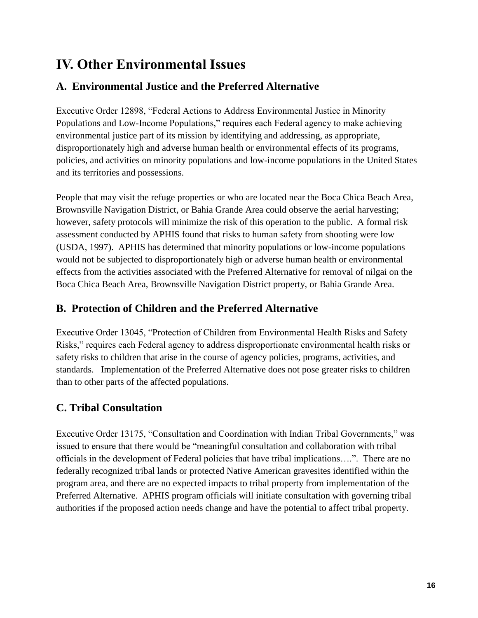## <span id="page-15-0"></span>**IV. Other Environmental Issues**

## <span id="page-15-1"></span>**A. Environmental Justice and the Preferred Alternative**

Executive Order 12898, "Federal Actions to Address Environmental Justice in Minority Populations and Low-Income Populations," requires each Federal agency to make achieving environmental justice part of its mission by identifying and addressing, as appropriate, disproportionately high and adverse human health or environmental effects of its programs, policies, and activities on minority populations and low-income populations in the United States and its territories and possessions.

People that may visit the refuge properties or who are located near the Boca Chica Beach Area, Brownsville Navigation District, or Bahia Grande Area could observe the aerial harvesting; however, safety protocols will minimize the risk of this operation to the public. A formal risk assessment conducted by APHIS found that risks to human safety from shooting were low [\(USDA, 1997\)](#page-23-5). APHIS has determined that minority populations or low-income populations would not be subjected to disproportionately high or adverse human health or environmental effects from the activities associated with the Preferred Alternative for removal of nilgai on the Boca Chica Beach Area, Brownsville Navigation District property, or Bahia Grande Area.

## <span id="page-15-2"></span>**B. Protection of Children and the Preferred Alternative**

Executive Order 13045, "Protection of Children from Environmental Health Risks and Safety Risks," requires each Federal agency to address disproportionate environmental health risks or safety risks to children that arise in the course of agency policies, programs, activities, and standards. Implementation of the Preferred Alternative does not pose greater risks to children than to other parts of the affected populations.

## <span id="page-15-3"></span>**C. Tribal Consultation**

Executive Order 13175, "Consultation and Coordination with Indian Tribal Governments," was issued to ensure that there would be "meaningful consultation and collaboration with tribal officials in the development of Federal policies that have tribal implications….". There are no federally recognized tribal lands or protected Native American gravesites identified within the program area, and there are no expected impacts to tribal property from implementation of the Preferred Alternative. APHIS program officials will initiate consultation with governing tribal authorities if the proposed action needs change and have the potential to affect tribal property.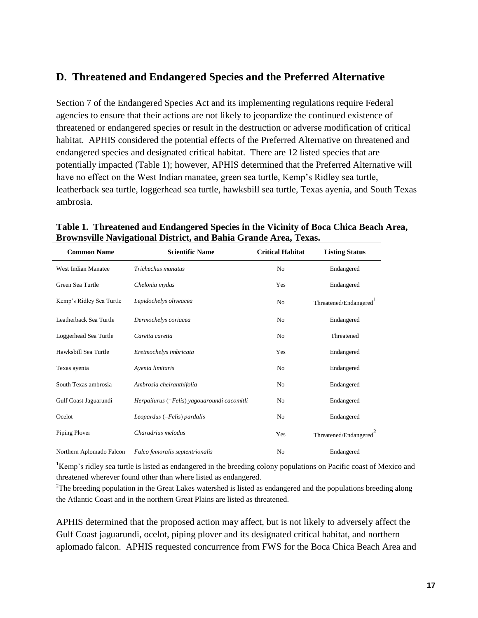### <span id="page-16-0"></span>**D. Threatened and Endangered Species and the Preferred Alternative**

Section 7 of the Endangered Species Act and its implementing regulations require Federal agencies to ensure that their actions are not likely to jeopardize the continued existence of threatened or endangered species or result in the destruction or adverse modification of critical habitat. APHIS considered the potential effects of the Preferred Alternative on threatened and endangered species and designated critical habitat. There are 12 listed species that are potentially impacted (Table 1); however, APHIS determined that the Preferred Alternative will have no effect on the West Indian manatee, green sea turtle, Kemp's Ridley sea turtle, leatherback sea turtle, loggerhead sea turtle, hawksbill sea turtle, Texas ayenia, and South Texas ambrosia.

| <b>Common Name</b>       | <b>Scientific Name</b>                      | <b>Critical Habitat</b> | <b>Listing Status</b>              |
|--------------------------|---------------------------------------------|-------------------------|------------------------------------|
| West Indian Manatee      | Trichechus manatus                          | N <sub>0</sub>          | Endangered                         |
| Green Sea Turtle         | Chelonia mydas                              | <b>Yes</b>              | Endangered                         |
| Kemp's Ridley Sea Turtle | Lepidochelys oliveacea                      | N <sub>o</sub>          | Threatened/Endangered <sup>1</sup> |
| Leatherback Sea Turtle   | Dermochelys coriacea                        | N <sub>0</sub>          | Endangered                         |
| Loggerhead Sea Turtle    | Caretta caretta                             | N <sub>o</sub>          | Threatened                         |
| Hawksbill Sea Turtle     | Eretmochelys imbricata                      | Yes                     | Endangered                         |
| Texas ayenia             | Avenia limitaris                            | N <sub>0</sub>          | Endangered                         |
| South Texas ambrosia     | Ambrosia cheiranthifolia                    | N <sub>0</sub>          | Endangered                         |
| Gulf Coast Jaguarundi    | Herpailurus (=Felis) yagouaroundi cacomitli | N <sub>o</sub>          | Endangered                         |
| Ocelot                   | Leopardus (=Felis) pardalis                 | N <sub>0</sub>          | Endangered                         |
| Piping Plover            | Charadrius melodus                          | Yes                     | Threatened/Endangered <sup>2</sup> |
| Northern Aplomado Falcon | Falco femoralis septentrionalis             | N <sub>o</sub>          | Endangered                         |

**Table 1. Threatened and Endangered Species in the Vicinity of Boca Chica Beach Area, Brownsville Navigational District, and Bahia Grande Area, Texas.**

<sup>1</sup>Kemp's ridley sea turtle is listed as endangered in the breeding colony populations on Pacific coast of Mexico and threatened wherever found other than where listed as endangered.

 $2$ The breeding population in the Great Lakes watershed is listed as endangered and the populations breeding along the Atlantic Coast and in the northern Great Plains are listed as threatened.

APHIS determined that the proposed action may affect, but is not likely to adversely affect the Gulf Coast jaguarundi, ocelot, piping plover and its designated critical habitat, and northern aplomado falcon. APHIS requested concurrence from FWS for the Boca Chica Beach Area and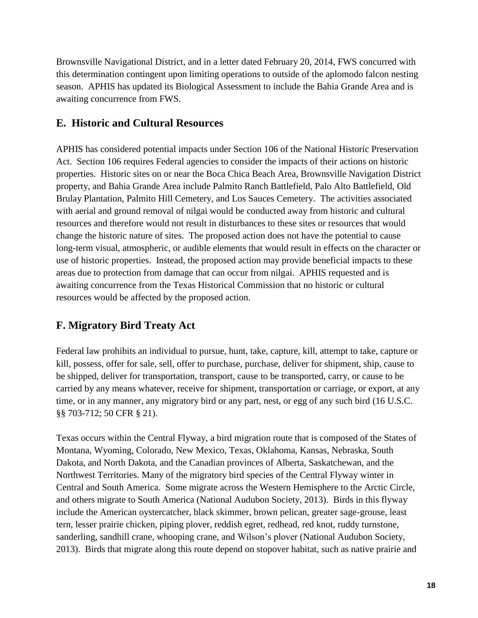Brownsville Navigational District, and in a letter dated February 20, 2014, FWS concurred with this determination contingent upon limiting operations to outside of the aplomodo falcon nesting season. APHIS has updated its Biological Assessment to include the Bahia Grande Area and is awaiting concurrence from FWS.

### <span id="page-17-0"></span>**E. Historic and Cultural Resources**

APHIS has considered potential impacts under Section 106 of the National Historic Preservation Act. Section 106 requires Federal agencies to consider the impacts of their actions on historic properties. Historic sites on or near the Boca Chica Beach Area, Brownsville Navigation District property, and Bahia Grande Area include Palmito Ranch Battlefield, Palo Alto Battlefield, Old Brulay Plantation, Palmito Hill Cemetery, and Los Sauces Cemetery. The activities associated with aerial and ground removal of nilgai would be conducted away from historic and cultural resources and therefore would not result in disturbances to these sites or resources that would change the historic nature of sites. The proposed action does not have the potential to cause long-term visual, atmospheric, or audible elements that would result in effects on the character or use of historic properties. Instead, the proposed action may provide beneficial impacts to these areas due to protection from damage that can occur from nilgai. APHIS requested and is awaiting concurrence from the Texas Historical Commission that no historic or cultural resources would be affected by the proposed action.

## <span id="page-17-1"></span>**F. Migratory Bird Treaty Act**

Federal law prohibits an individual to pursue, hunt, take, capture, kill, attempt to take, capture or kill, possess, offer for sale, sell, offer to purchase, purchase, deliver for shipment, ship, cause to be shipped, deliver for transportation, transport, cause to be transported, carry, or cause to be carried by any means whatever, receive for shipment, transportation or carriage, or export, at any time, or in any manner, any migratory bird or any part, nest, or egg of any such bird (16 U.S.C. §§ 703-712; 50 CFR § 21).

Texas occurs within the Central Flyway, a bird migration route that is composed of the States of Montana, Wyoming, Colorado, New Mexico, Texas, Oklahoma, Kansas, Nebraska, South Dakota, and North Dakota, and the Canadian provinces of Alberta, Saskatchewan, and the Northwest Territories. Many of the migratory bird species of the Central Flyway winter in Central and South America. Some migrate across the Western Hemisphere to the Arctic Circle, and others migrate to South America [\(National Audubon Society, 2013\)](#page-22-9). Birds in this flyway include the American oystercatcher, black skimmer, brown pelican, greater sage-grouse, least tern, lesser prairie chicken, piping plover, reddish egret, redhead, red knot, ruddy turnstone, sanderling, sandhill crane, whooping crane, and Wilson's plover [\(National Audubon Society,](#page-22-9)  [2013\)](#page-22-9). Birds that migrate along this route depend on stopover habitat, such as native prairie and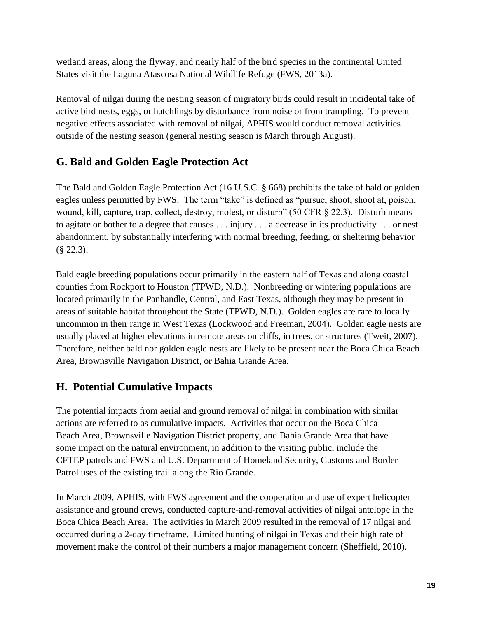wetland areas, along the flyway, and nearly half of the bird species in the continental United States visit the Laguna Atascosa National Wildlife Refuge [\(FWS, 2013a\)](#page-21-13).

Removal of nilgai during the nesting season of migratory birds could result in incidental take of active bird nests, eggs, or hatchlings by disturbance from noise or from trampling. To prevent negative effects associated with removal of nilgai, APHIS would conduct removal activities outside of the nesting season (general nesting season is March through August).

## <span id="page-18-0"></span>**G. Bald and Golden Eagle Protection Act**

The Bald and Golden Eagle Protection Act (16 U.S.C. § 668) prohibits the take of bald or golden eagles unless permitted by FWS. The term "take" is defined as "pursue, shoot, shoot at, poison, wound, kill, capture, trap, collect, destroy, molest, or disturb" (50 CFR § 22.3). Disturb means to agitate or bother to a degree that causes . . . injury . . . a decrease in its productivity . . . or nest abandonment, by substantially interfering with normal breeding, feeding, or sheltering behavior (§ 22.3).

Bald eagle breeding populations occur primarily in the eastern half of Texas and along coastal counties from Rockport to Houston [\(TPWD, N.D.\)](#page-23-6). Nonbreeding or wintering populations are located primarily in the Panhandle, Central, and East Texas, although they may be present in areas of suitable habitat throughout the State [\(TPWD, N.D.\)](#page-23-6). Golden eagles are rare to locally uncommon in their range in West Texas [\(Lockwood and Freeman, 2004\)](#page-22-10). Golden eagle nests are usually placed at higher elevations in remote areas on cliffs, in trees, or structures [\(Tweit, 2007\)](#page-23-7). Therefore, neither bald nor golden eagle nests are likely to be present near the Boca Chica Beach Area, Brownsville Navigation District, or Bahia Grande Area.

## <span id="page-18-1"></span>**H. Potential Cumulative Impacts**

The potential impacts from aerial and ground removal of nilgai in combination with similar actions are referred to as cumulative impacts. Activities that occur on the Boca Chica Beach Area, Brownsville Navigation District property, and Bahia Grande Area that have some impact on the natural environment, in addition to the visiting public, include the CFTEP patrols and FWS and U.S. Department of Homeland Security, Customs and Border Patrol uses of the existing trail along the Rio Grande.

In March 2009, APHIS, with FWS agreement and the cooperation and use of expert helicopter assistance and ground crews, conducted capture-and-removal activities of nilgai antelope in the Boca Chica Beach Area. The activities in March 2009 resulted in the removal of 17 nilgai and occurred during a 2-day timeframe. Limited hunting of nilgai in Texas and their high rate of movement make the control of their numbers a major management concern [\(Sheffield, 2010\)](#page-23-8).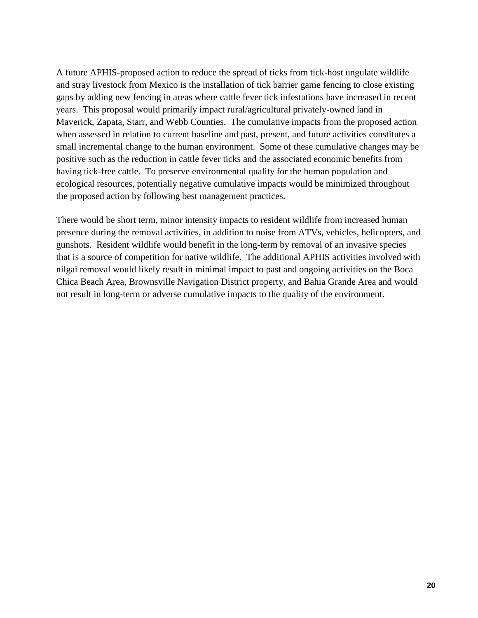A future APHIS-proposed action to reduce the spread of ticks from tick-host ungulate wildlife and stray livestock from Mexico is the installation of tick barrier game fencing to close existing gaps by adding new fencing in areas where cattle fever tick infestations have increased in recent years. This proposal would primarily impact rural/agricultural privately-owned land in Maverick, Zapata, Starr, and Webb Counties. The cumulative impacts from the proposed action when assessed in relation to current baseline and past, present, and future activities constitutes a small incremental change to the human environment. Some of these cumulative changes may be positive such as the reduction in cattle fever ticks and the associated economic benefits from having tick-free cattle. To preserve environmental quality for the human population and ecological resources, potentially negative cumulative impacts would be minimized throughout the proposed action by following best management practices.

There would be short term, minor intensity impacts to resident wildlife from increased human presence during the removal activities, in addition to noise from ATVs, vehicles, helicopters, and gunshots. Resident wildlife would benefit in the long-term by removal of an invasive species that is a source of competition for native wildlife. The additional APHIS activities involved with nilgai removal would likely result in minimal impact to past and ongoing activities on the Boca Chica Beach Area, Brownsville Navigation District property, and Bahia Grande Area and would not result in long-term or adverse cumulative impacts to the quality of the environment.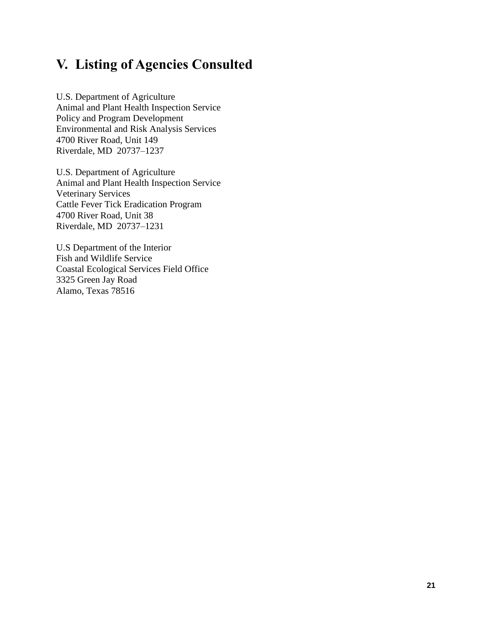## <span id="page-20-0"></span>**V. Listing of Agencies Consulted**

U.S. Department of Agriculture Animal and Plant Health Inspection Service Policy and Program Development Environmental and Risk Analysis Services 4700 River Road, Unit 149 Riverdale, MD 20737–1237

U.S. Department of Agriculture Animal and Plant Health Inspection Service Veterinary Services Cattle Fever Tick Eradication Program 4700 River Road, Unit 38 Riverdale, MD 20737–1231

U.S Department of the Interior Fish and Wildlife Service Coastal Ecological Services Field Office 3325 Green Jay Road Alamo, Texas 78516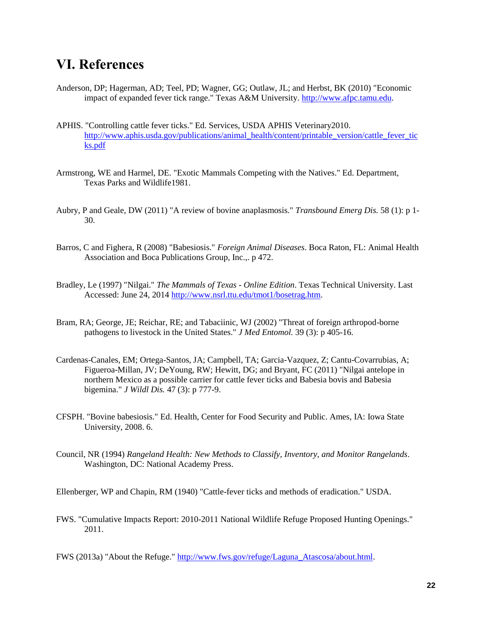## <span id="page-21-0"></span>**VI. References**

- <span id="page-21-1"></span>Anderson, DP; Hagerman, AD; Teel, PD; Wagner, GG; Outlaw, JL; and Herbst, BK (2010) "Economic impact of expanded fever tick range." Texas A&M University. [http://www.afpc.tamu.edu.](http://www.afpc.tamu.edu/)
- <span id="page-21-7"></span>APHIS. "Controlling cattle fever ticks." Ed. Services, USDA APHIS Veterinary2010. [http://www.aphis.usda.gov/publications/animal\\_health/content/printable\\_version/cattle\\_fever\\_tic](http://www.aphis.usda.gov/publications/animal_health/content/printable_version/cattle_fever_ticks.pdf) [ks.pdf](http://www.aphis.usda.gov/publications/animal_health/content/printable_version/cattle_fever_ticks.pdf)
- <span id="page-21-4"></span>Armstrong, WE and Harmel, DE. "Exotic Mammals Competing with the Natives." Ed. Department, Texas Parks and Wildlife1981.
- <span id="page-21-6"></span>Aubry, P and Geale, DW (2011) "A review of bovine anaplasmosis." *Transbound Emerg Dis.* 58 (1): p 1- 30.
- <span id="page-21-5"></span>Barros, C and Fighera, R (2008) "Babesiosis." *Foreign Animal Diseases*. Boca Raton, FL: Animal Health Association and Boca Publications Group, Inc.,. p 472.
- <span id="page-21-3"></span>Bradley, Le (1997) "Nilgai." *The Mammals of Texas - Online Edition*. Texas Technical University. Last Accessed: June 24, 2014 [http://www.nsrl.ttu.edu/tmot1/bosetrag.htm.](http://www.nsrl.ttu.edu/tmot1/bosetrag.htm)
- <span id="page-21-10"></span>Bram, RA; George, JE; Reichar, RE; and Tabaciinic, WJ (2002) "Threat of foreign arthropod-borne pathogens to livestock in the United States." *J Med Entomol.* 39 (3): p 405-16.
- <span id="page-21-2"></span>Cardenas-Canales, EM; Ortega-Santos, JA; Campbell, TA; Garcia-Vazquez, Z; Cantu-Covarrubias, A; Figueroa-Millan, JV; DeYoung, RW; Hewitt, DG; and Bryant, FC (2011) "Nilgai antelope in northern Mexico as a possible carrier for cattle fever ticks and Babesia bovis and Babesia bigemina." *J Wildl Dis.* 47 (3): p 777-9.
- <span id="page-21-8"></span>CFSPH. "Bovine babesiosis." Ed. Health, Center for Food Security and Public. Ames, IA: Iowa State University, 2008. 6.
- <span id="page-21-11"></span>Council, NR (1994) *Rangeland Health: New Methods to Classify, Inventory, and Monitor Rangelands*. Washington, DC: National Academy Press.

<span id="page-21-9"></span>Ellenberger, WP and Chapin, RM (1940) "Cattle-fever ticks and methods of eradication." USDA.

- <span id="page-21-12"></span>FWS. "Cumulative Impacts Report: 2010-2011 National Wildlife Refuge Proposed Hunting Openings." 2011.
- <span id="page-21-13"></span>FWS (2013a) "About the Refuge." [http://www.fws.gov/refuge/Laguna\\_Atascosa/about.html.](http://www.fws.gov/refuge/Laguna_Atascosa/about.html)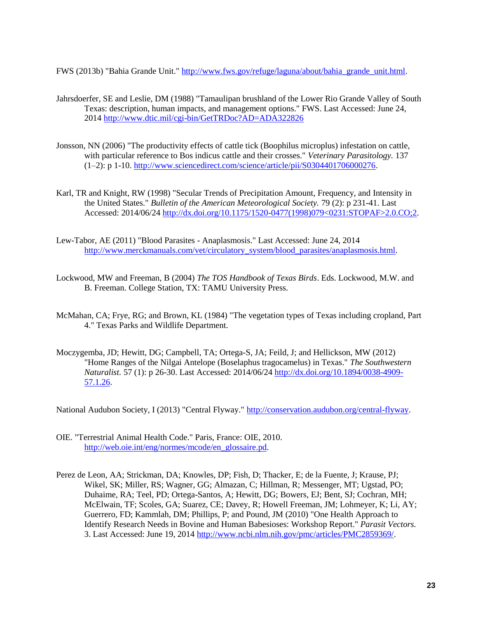<span id="page-22-1"></span>FWS (2013b) "Bahia Grande Unit." [http://www.fws.gov/refuge/laguna/about/bahia\\_grande\\_unit.html.](http://www.fws.gov/refuge/laguna/about/bahia_grande_unit.html)

- <span id="page-22-6"></span>Jahrsdoerfer, SE and Leslie, DM (1988) "Tamaulipan brushland of the Lower Rio Grande Valley of South Texas: description, human impacts, and management options." FWS. Last Accessed: June 24, 201[4 http://www.dtic.mil/cgi-bin/GetTRDoc?AD=ADA322826](http://www.dtic.mil/cgi-bin/GetTRDoc?AD=ADA322826)
- <span id="page-22-4"></span>Jonsson, NN (2006) "The productivity effects of cattle tick (Boophilus microplus) infestation on cattle, with particular reference to Bos indicus cattle and their crosses." *Veterinary Parasitology.* 137 (1–2): p 1-10. [http://www.sciencedirect.com/science/article/pii/S0304401706000276.](http://www.sciencedirect.com/science/article/pii/S0304401706000276)
- <span id="page-22-8"></span>Karl, TR and Knight, RW (1998) "Secular Trends of Precipitation Amount, Frequency, and Intensity in the United States." *Bulletin of the American Meteorological Society.* 79 (2): p 231-41. Last Accessed: 2014/06/24 [http://dx.doi.org/10.1175/1520-0477\(1998\)079<0231:STOPAF>2.0.CO;2.](http://dx.doi.org/10.1175/1520-0477(1998)079%3c0231:STOPAF%3e2.0.CO;2)
- <span id="page-22-5"></span>Lew-Tabor, AE (2011) "Blood Parasites - Anaplasmosis." Last Accessed: June 24, 2014 [http://www.merckmanuals.com/vet/circulatory\\_system/blood\\_parasites/anaplasmosis.html.](http://www.merckmanuals.com/vet/circulatory_system/blood_parasites/anaplasmosis.html)
- <span id="page-22-10"></span>Lockwood, MW and Freeman, B (2004) *The TOS Handbook of Texas Birds*. Eds. Lockwood, M.W. and B. Freeman. College Station, TX: TAMU University Press.
- <span id="page-22-7"></span>McMahan, CA; Frye, RG; and Brown, KL (1984) "The vegetation types of Texas including cropland, Part 4." Texas Parks and Wildlife Department.
- <span id="page-22-0"></span>Moczygemba, JD; Hewitt, DG; Campbell, TA; Ortega-S, JA; Feild, J; and Hellickson, MW (2012) "Home Ranges of the Nilgai Antelope (Boselaphus tragocamelus) in Texas." *The Southwestern Naturalist.* 57 (1): p 26-30. Last Accessed: 2014/06/24 [http://dx.doi.org/10.1894/0038-4909-](http://dx.doi.org/10.1894/0038-4909-57.1.26) [57.1.26.](http://dx.doi.org/10.1894/0038-4909-57.1.26)

<span id="page-22-9"></span>National Audubon Society, I (2013) "Central Flyway." [http://conservation.audubon.org/central-flyway.](http://conservation.audubon.org/central-flyway)

- <span id="page-22-3"></span>OIE. "Terrestrial Animal Health Code." Paris, France: OIE, 2010. [http://web.oie.int/eng/normes/mcode/en\\_glossaire.pd.](http://web.oie.int/eng/normes/mcode/en_glossaire.pd)
- <span id="page-22-2"></span>Perez de Leon, AA; Strickman, DA; Knowles, DP; Fish, D; Thacker, E; de la Fuente, J; Krause, PJ; Wikel, SK; Miller, RS; Wagner, GG; Almazan, C; Hillman, R; Messenger, MT; Ugstad, PO; Duhaime, RA; Teel, PD; Ortega-Santos, A; Hewitt, DG; Bowers, EJ; Bent, SJ; Cochran, MH; McElwain, TF; Scoles, GA; Suarez, CE; Davey, R; Howell Freeman, JM; Lohmeyer, K; Li, AY; Guerrero, FD; Kammlah, DM; Phillips, P; and Pound, JM (2010) "One Health Approach to Identify Research Needs in Bovine and Human Babesioses: Workshop Report." *Parasit Vectors.*  3. Last Accessed: June 19, 2014 [http://www.ncbi.nlm.nih.gov/pmc/articles/PMC2859369/.](http://www.ncbi.nlm.nih.gov/pmc/articles/PMC2859369/)